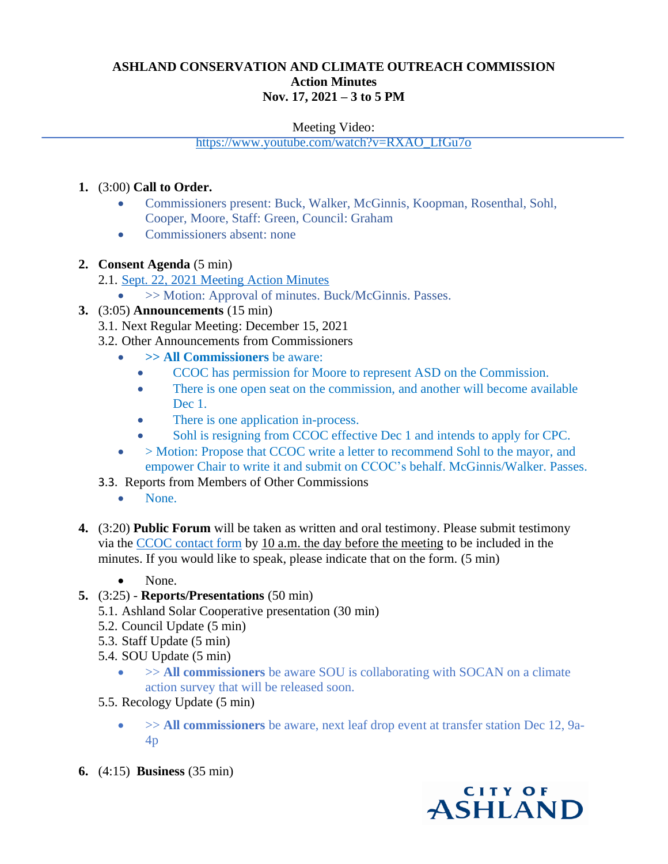# **ASHLAND CONSERVATION AND CLIMATE OUTREACH COMMISSION Action Minutes Nov. 17, 2021 – 3 to 5 PM**

#### Meeting Video:

[https://www.youtube.com/watch?v=RXAO\\_LfGu7o](https://www.youtube.com/watch?v=RXAO_LfGu7o)

### **1.** (3:00) **Call to Order.**

- Commissioners present: Buck, Walker, McGinnis, Koopman, Rosenthal, Sohl, Cooper, Moore, Staff: Green, Council: Graham
- Commissioners absent: none
- **2. Consent Agenda** (5 min)
	- 2.1. [Sept. 22, 2021](http://www.ashland.or.us/files/CCOC_Action_Minutes_20211027_-_Draft.pdf) Meeting Action Minutes
		- >> Motion: Approval of minutes. Buck/McGinnis. Passes.
- **3.** (3:05) **Announcements** (15 min)
	- 3.1. Next Regular Meeting: December 15, 2021
	- 3.2. Other Announcements from Commissioners
		- **>> All Commissioners** be aware:
			- CCOC has permission for Moore to represent ASD on the Commission.
			- There is one open seat on the commission, and another will become available Dec 1.
			- There is one application in-process.
			- Sohl is resigning from CCOC effective Dec 1 and intends to apply for CPC.
		- > Motion: Propose that CCOC write a letter to recommend Sohl to the mayor, and empower Chair to write it and submit on CCOC's behalf. McGinnis/Walker. Passes.
	- 3.3. Reports from Members of Other Commissions
		- None.
- **4.** (3:20) **Public Forum** will be taken as written and oral testimony. Please submit testimony via the [CCOC contact form](http://www.ashland.or.us/FormPageBS.asp?FormID=245) by 10 a.m. the day before the meeting to be included in the minutes. If you would like to speak, please indicate that on the form. (5 min)
	- None.
- **5.** (3:25) **Reports/Presentations** (50 min)
	- 5.1. Ashland Solar Cooperative presentation (30 min)
	- 5.2. Council Update (5 min)
	- 5.3. Staff Update (5 min)
	- 5.4. SOU Update (5 min)
		- $\rightarrow$  > All commissioners be aware SOU is collaborating with SOCAN on a climate action survey that will be released soon.
	- 5.5. Recology Update (5 min)
		- >> **All commissioners** be aware, next leaf drop event at transfer station Dec 12, 9a-4p
- **6.** (4:15) **Business** (35 min)

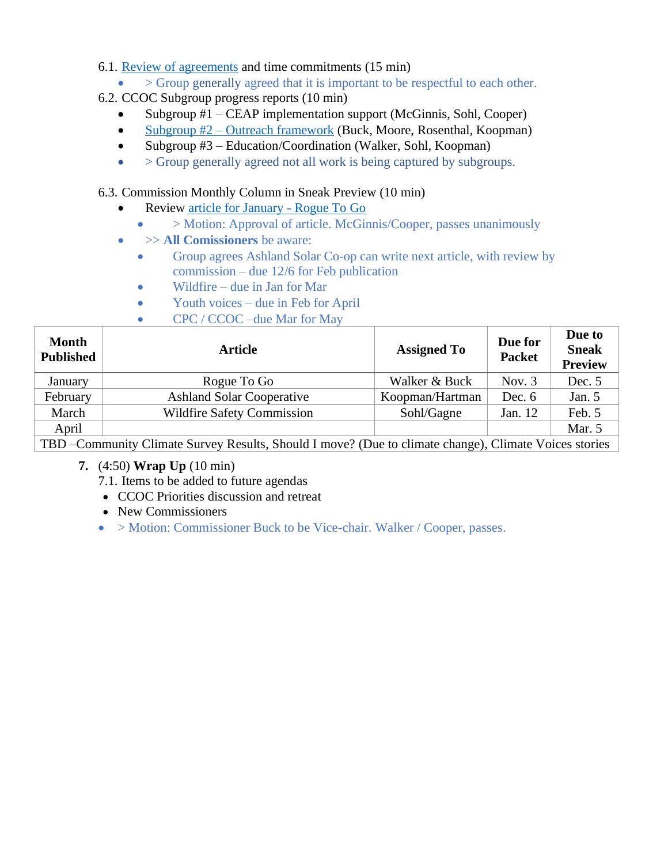- 6.1. [Review of agreements](http://www.ashland.or.us/SIB/files/Conservation%20Commission/20211117%20Meeting/Conservation_Commission_RulesPoster.pdf) and time commitments (15 min)
	- > Group generally agreed that it is important to be respectful to each other.
- 6.2. CCOC Subgroup progress reports (10 min)
	- Subgroup #1 CEAP implementation support (McGinnis, Sohl, Cooper)
	- Subgroup #2 [Outreach framework](http://www.ashland.or.us/SIB/files/Conservation%20Commission/20211117%20Meeting/Notes_from_Subgroup_2_20211109.pdf) (Buck, Moore, Rosenthal, Koopman)
	- Subgroup #3 Education/Coordination (Walker, Sohl, Koopman)
	- $\bullet$  > Group generally agreed not all work is being captured by subgroups.

## 6.3. Commission Monthly Column in Sneak Preview (10 min)

- Review [article for January](http://www.ashland.or.us/SIB/files/Conservation%20Commission/20211117%20Meeting/Rogue_To_Go_Sneak_Preview_102921.pdf) Rogue To Go
	- > Motion: Approval of article. McGinnis/Cooper, passes unanimously
- >> **All Comissioners** be aware:
	- Group agrees Ashland Solar Co-op can write next article, with review by commission – due 12/6 for Feb publication
	- Wildfire due in Jan for Mar
	- Youth voices due in Feb for April
	- CPC / CCOC –due Mar for May

| <b>Month</b><br><b>Published</b>                                                                       | <b>Article</b>                    | <b>Assigned To</b> | Due for<br><b>Packet</b> | Due to<br><b>Sneak</b><br><b>Preview</b> |
|--------------------------------------------------------------------------------------------------------|-----------------------------------|--------------------|--------------------------|------------------------------------------|
| January                                                                                                | Rogue To Go                       | Walker & Buck      | Nov. $3$                 | Dec. 5                                   |
| February                                                                                               | <b>Ashland Solar Cooperative</b>  | Koopman/Hartman    | Dec. $6$                 | Jan. $5$                                 |
| March                                                                                                  | <b>Wildfire Safety Commission</b> | Sohl/Gagne         | Jan. 12                  | Feb. 5                                   |
| April                                                                                                  |                                   |                    |                          | Mar. 5                                   |
| TBD – Community Climate Survey Results, Should I move? (Due to climate change), Climate Voices stories |                                   |                    |                          |                                          |

- **7.** (4:50) **Wrap Up** (10 min)
	- 7.1. Items to be added to future agendas
	- CCOC Priorities discussion and retreat
	- New Commissioners
	- > Motion: Commissioner Buck to be Vice-chair. Walker / Cooper, passes.